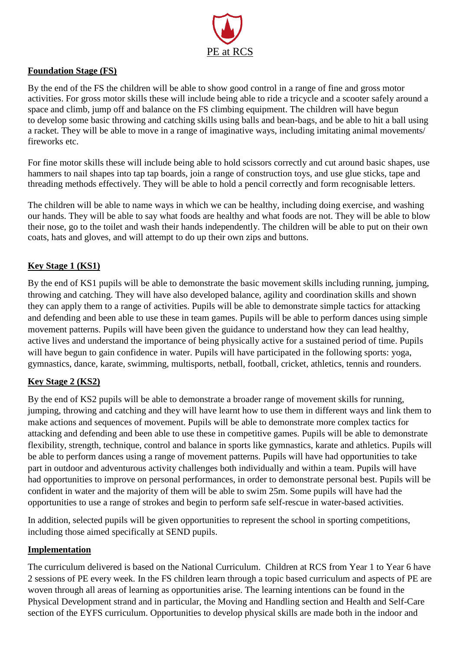

## **Foundation Stage (FS)**

By the end of the FS the children will be able to show good control in a range of fine and gross motor activities. For gross motor skills these will include being able to ride a tricycle and a scooter safely around a space and climb, jump off and balance on the FS climbing equipment. The children will have begun to develop some basic throwing and catching skills using balls and bean-bags, and be able to hit a ball using a racket. They will be able to move in a range of imaginative ways, including imitating animal movements/ fireworks etc.

For fine motor skills these will include being able to hold scissors correctly and cut around basic shapes, use hammers to nail shapes into tap tap boards, join a range of construction toys, and use glue sticks, tape and threading methods effectively. They will be able to hold a pencil correctly and form recognisable letters.

The children will be able to name ways in which we can be healthy, including doing exercise, and washing our hands. They will be able to say what foods are healthy and what foods are not. They will be able to blow their nose, go to the toilet and wash their hands independently. The children will be able to put on their own coats, hats and gloves, and will attempt to do up their own zips and buttons.

## **Key Stage 1 (KS1)**

By the end of KS1 pupils will be able to demonstrate the basic movement skills including running, jumping, throwing and catching. They will have also developed balance, agility and coordination skills and shown they can apply them to a range of activities. Pupils will be able to demonstrate simple tactics for attacking and defending and been able to use these in team games. Pupils will be able to perform dances using simple movement patterns. Pupils will have been given the guidance to understand how they can lead healthy, active lives and understand the importance of being physically active for a sustained period of time. Pupils will have begun to gain confidence in water. Pupils will have participated in the following sports: yoga, gymnastics, dance, karate, swimming, multisports, netball, football, cricket, athletics, tennis and rounders.

## **Key Stage 2 (KS2)**

By the end of KS2 pupils will be able to demonstrate a broader range of movement skills for running, jumping, throwing and catching and they will have learnt how to use them in different ways and link them to make actions and sequences of movement. Pupils will be able to demonstrate more complex tactics for attacking and defending and been able to use these in competitive games. Pupils will be able to demonstrate flexibility, strength, technique, control and balance in sports like gymnastics, karate and athletics. Pupils will be able to perform dances using a range of movement patterns. Pupils will have had opportunities to take part in outdoor and adventurous activity challenges both individually and within a team. Pupils will have had opportunities to improve on personal performances, in order to demonstrate personal best. Pupils will be confident in water and the majority of them will be able to swim 25m. Some pupils will have had the opportunities to use a range of strokes and begin to perform safe self-rescue in water-based activities.

In addition, selected pupils will be given opportunities to represent the school in sporting competitions, including those aimed specifically at SEND pupils.

## **Implementation**

The curriculum delivered is based on the National Curriculum. Children at RCS from Year 1 to Year 6 have 2 sessions of PE every week. In the FS children learn through a topic based curriculum and aspects of PE are woven through all areas of learning as opportunities arise. The learning intentions can be found in the Physical Development strand and in particular, the Moving and Handling section and Health and Self-Care section of the EYFS curriculum. Opportunities to develop physical skills are made both in the indoor and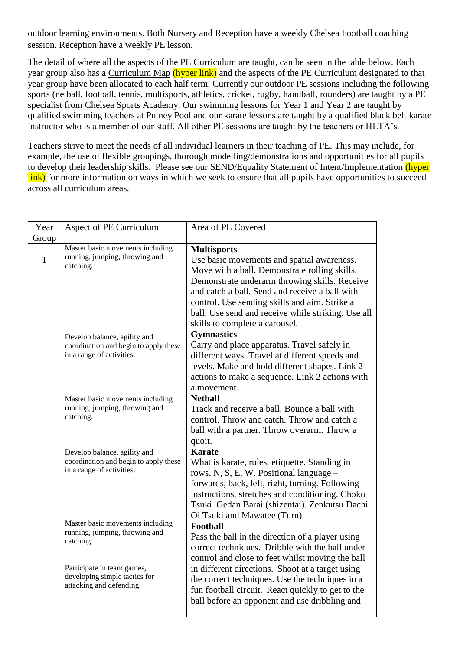outdoor learning environments. Both Nursery and Reception have a weekly Chelsea Football coaching session. Reception have a weekly PE lesson.

The detail of where all the aspects of the PE Curriculum are taught, can be seen in the table below. Each year group also has a Curriculum Map (hyper link) and the aspects of the PE Curriculum designated to that year group have been allocated to each half term. Currently our outdoor PE sessions including the following sports (netball, football, tennis, multisports, athletics, cricket, rugby, handball, rounders) are taught by a PE specialist from Chelsea Sports Academy. Our swimming lessons for Year 1 and Year 2 are taught by qualified swimming teachers at Putney Pool and our karate lessons are taught by a qualified black belt karate instructor who is a member of our staff. All other PE sessions are taught by the teachers or HLTA's.

Teachers strive to meet the needs of all individual learners in their teaching of PE. This may include, for example, the use of flexible groupings, thorough modelling/demonstrations and opportunities for all pupils to develop their leadership skills. Please see our SEND/Equality Statement of Intent/Implementation (hyper link) for more information on ways in which we seek to ensure that all pupils have opportunities to succeed across all curriculum areas.

| Year         | Aspect of PE Curriculum                                                                            | Area of PE Covered                                                                                                                                                                                                                                                                                                                                            |
|--------------|----------------------------------------------------------------------------------------------------|---------------------------------------------------------------------------------------------------------------------------------------------------------------------------------------------------------------------------------------------------------------------------------------------------------------------------------------------------------------|
| Group        |                                                                                                    |                                                                                                                                                                                                                                                                                                                                                               |
| $\mathbf{1}$ | Master basic movements including<br>running, jumping, throwing and<br>catching.                    | <b>Multisports</b><br>Use basic movements and spatial awareness.<br>Move with a ball. Demonstrate rolling skills.<br>Demonstrate underarm throwing skills. Receive<br>and catch a ball. Send and receive a ball with<br>control. Use sending skills and aim. Strike a<br>ball. Use send and receive while striking. Use all<br>skills to complete a carousel. |
|              | Develop balance, agility and<br>coordination and begin to apply these<br>in a range of activities. | <b>Gymnastics</b><br>Carry and place apparatus. Travel safely in<br>different ways. Travel at different speeds and<br>levels. Make and hold different shapes. Link 2<br>actions to make a sequence. Link 2 actions with<br>a movement.                                                                                                                        |
|              | Master basic movements including<br>running, jumping, throwing and<br>catching.                    | <b>Netball</b><br>Track and receive a ball. Bounce a ball with<br>control. Throw and catch. Throw and catch a<br>ball with a partner. Throw overarm. Throw a<br>quoit.                                                                                                                                                                                        |
|              | Develop balance, agility and<br>coordination and begin to apply these<br>in a range of activities. | <b>Karate</b><br>What is karate, rules, etiquette. Standing in<br>rows, N, S, E, W. Positional language -<br>forwards, back, left, right, turning. Following<br>instructions, stretches and conditioning. Choku<br>Tsuki. Gedan Barai (shizentai). Zenkutsu Dachi.<br>Oi Tsuki and Mawatee (Turn).                                                            |
|              | Master basic movements including<br>running, jumping, throwing and<br>catching.                    | Football<br>Pass the ball in the direction of a player using<br>correct techniques. Dribble with the ball under<br>control and close to feet whilst moving the ball                                                                                                                                                                                           |
|              | Participate in team games,<br>developing simple tactics for<br>attacking and defending.            | in different directions. Shoot at a target using<br>the correct techniques. Use the techniques in a<br>fun football circuit. React quickly to get to the<br>ball before an opponent and use dribbling and                                                                                                                                                     |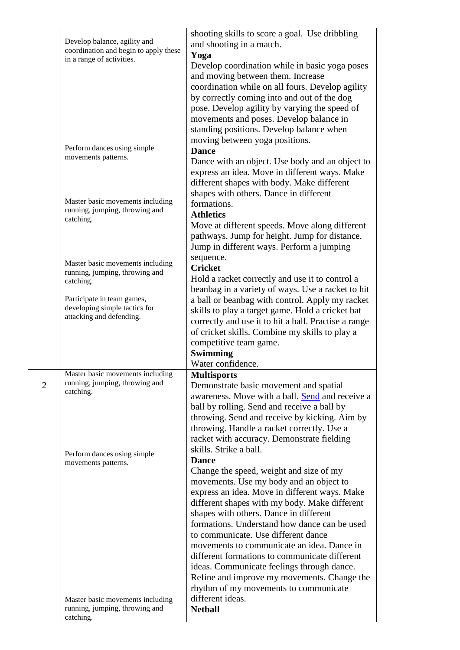|                |                                                                    | shooting skills to score a goal. Use dribbling       |
|----------------|--------------------------------------------------------------------|------------------------------------------------------|
|                | Develop balance, agility and                                       | and shooting in a match.                             |
|                | coordination and begin to apply these<br>in a range of activities. | Yoga                                                 |
|                |                                                                    | Develop coordination while in basic yoga poses       |
|                |                                                                    | and moving between them. Increase                    |
|                |                                                                    | coordination while on all fours. Develop agility     |
|                |                                                                    | by correctly coming into and out of the dog          |
|                |                                                                    | pose. Develop agility by varying the speed of        |
|                |                                                                    | movements and poses. Develop balance in              |
|                |                                                                    | standing positions. Develop balance when             |
|                |                                                                    | moving between yoga positions.                       |
|                | Perform dances using simple                                        | <b>Dance</b>                                         |
|                | movements patterns.                                                | Dance with an object. Use body and an object to      |
|                |                                                                    | express an idea. Move in different ways. Make        |
|                |                                                                    | different shapes with body. Make different           |
|                |                                                                    | shapes with others. Dance in different               |
|                | Master basic movements including                                   | formations.                                          |
|                | running, jumping, throwing and                                     | <b>Athletics</b>                                     |
|                | catching.                                                          |                                                      |
|                |                                                                    | Move at different speeds. Move along different       |
|                |                                                                    | pathways. Jump for height. Jump for distance.        |
|                |                                                                    | Jump in different ways. Perform a jumping            |
|                | Master basic movements including                                   | sequence.                                            |
|                | running, jumping, throwing and                                     | <b>Cricket</b>                                       |
|                | catching.                                                          | Hold a racket correctly and use it to control a      |
|                |                                                                    | beanbag in a variety of ways. Use a racket to hit    |
|                | Participate in team games,<br>developing simple tactics for        | a ball or beanbag with control. Apply my racket      |
|                | attacking and defending.                                           | skills to play a target game. Hold a cricket bat     |
|                |                                                                    | correctly and use it to hit a ball. Practise a range |
|                |                                                                    | of cricket skills. Combine my skills to play a       |
|                |                                                                    | competitive team game.                               |
|                |                                                                    | <b>Swimming</b>                                      |
|                |                                                                    | Water confidence.                                    |
|                | Master basic movements including                                   | <b>Multisports</b>                                   |
| $\overline{2}$ | running, jumping, throwing and<br>catching.                        | Demonstrate basic movement and spatial               |
|                |                                                                    | awareness. Move with a ball. Send and receive a      |
|                |                                                                    | ball by rolling. Send and receive a ball by          |
|                |                                                                    | throwing. Send and receive by kicking. Aim by        |
|                |                                                                    | throwing. Handle a racket correctly. Use a           |
|                |                                                                    | racket with accuracy. Demonstrate fielding           |
|                | Perform dances using simple                                        | skills. Strike a ball.                               |
|                | movements patterns.                                                | <b>Dance</b>                                         |
|                |                                                                    | Change the speed, weight and size of my              |
|                |                                                                    | movements. Use my body and an object to              |
|                |                                                                    | express an idea. Move in different ways. Make        |
|                |                                                                    | different shapes with my body. Make different        |
|                |                                                                    | shapes with others. Dance in different               |
|                |                                                                    | formations. Understand how dance can be used         |
|                |                                                                    | to communicate. Use different dance                  |
|                |                                                                    | movements to communicate an idea. Dance in           |
|                |                                                                    | different formations to communicate different        |
|                |                                                                    | ideas. Communicate feelings through dance.           |
|                |                                                                    | Refine and improve my movements. Change the          |
|                |                                                                    | rhythm of my movements to communicate                |
|                | Master basic movements including                                   | different ideas.                                     |
|                | running, jumping, throwing and                                     | <b>Netball</b>                                       |
|                | catching.                                                          |                                                      |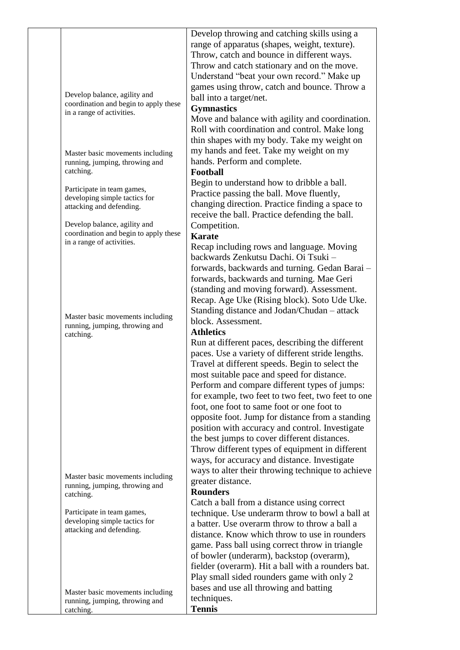|  |                                                                                                    | Develop throwing and catching skills using a<br>range of apparatus (shapes, weight, texture).<br>Throw, catch and bounce in different ways.<br>Throw and catch stationary and on the move.<br>Understand "beat your own record." Make up                                                                                                                                                                                                                                                                                                                                                                                                                                   |
|--|----------------------------------------------------------------------------------------------------|----------------------------------------------------------------------------------------------------------------------------------------------------------------------------------------------------------------------------------------------------------------------------------------------------------------------------------------------------------------------------------------------------------------------------------------------------------------------------------------------------------------------------------------------------------------------------------------------------------------------------------------------------------------------------|
|  | Develop balance, agility and<br>coordination and begin to apply these<br>in a range of activities. | games using throw, catch and bounce. Throw a<br>ball into a target/net.                                                                                                                                                                                                                                                                                                                                                                                                                                                                                                                                                                                                    |
|  |                                                                                                    | <b>Gymnastics</b><br>Move and balance with agility and coordination.<br>Roll with coordination and control. Make long<br>thin shapes with my body. Take my weight on                                                                                                                                                                                                                                                                                                                                                                                                                                                                                                       |
|  | Master basic movements including<br>running, jumping, throwing and<br>catching.                    | my hands and feet. Take my weight on my<br>hands. Perform and complete.<br>Football                                                                                                                                                                                                                                                                                                                                                                                                                                                                                                                                                                                        |
|  | Participate in team games,<br>developing simple tactics for<br>attacking and defending.            | Begin to understand how to dribble a ball.<br>Practice passing the ball. Move fluently,<br>changing direction. Practice finding a space to<br>receive the ball. Practice defending the ball.                                                                                                                                                                                                                                                                                                                                                                                                                                                                               |
|  | Develop balance, agility and<br>coordination and begin to apply these<br>in a range of activities. | Competition.<br><b>Karate</b>                                                                                                                                                                                                                                                                                                                                                                                                                                                                                                                                                                                                                                              |
|  |                                                                                                    | Recap including rows and language. Moving<br>backwards Zenkutsu Dachi. Oi Tsuki -<br>forwards, backwards and turning. Gedan Barai -<br>forwards, backwards and turning. Mae Geri<br>(standing and moving forward). Assessment.<br>Recap. Age Uke (Rising block). Soto Ude Uke.                                                                                                                                                                                                                                                                                                                                                                                             |
|  | Master basic movements including<br>running, jumping, throwing and<br>catching.                    | Standing distance and Jodan/Chudan – attack<br>block. Assessment.<br><b>Athletics</b>                                                                                                                                                                                                                                                                                                                                                                                                                                                                                                                                                                                      |
|  | Master basic movements including                                                                   | Run at different paces, describing the different<br>paces. Use a variety of different stride lengths.<br>Travel at different speeds. Begin to select the<br>most suitable pace and speed for distance.<br>Perform and compare different types of jumps:<br>for example, two feet to two feet, two feet to one<br>foot, one foot to same foot or one foot to<br>opposite foot. Jump for distance from a standing<br>position with accuracy and control. Investigate<br>the best jumps to cover different distances.<br>Throw different types of equipment in different<br>ways, for accuracy and distance. Investigate<br>ways to alter their throwing technique to achieve |
|  | running, jumping, throwing and<br>catching.                                                        | greater distance.<br><b>Rounders</b><br>Catch a ball from a distance using correct                                                                                                                                                                                                                                                                                                                                                                                                                                                                                                                                                                                         |
|  | Participate in team games,<br>developing simple tactics for<br>attacking and defending.            | technique. Use underarm throw to bowl a ball at<br>a batter. Use overarm throw to throw a ball a<br>distance. Know which throw to use in rounders<br>game. Pass ball using correct throw in triangle<br>of bowler (underarm), backstop (overarm),<br>fielder (overarm). Hit a ball with a rounders bat.<br>Play small sided rounders game with only 2<br>bases and use all throwing and batting                                                                                                                                                                                                                                                                            |
|  | Master basic movements including<br>running, jumping, throwing and<br>catching.                    | techniques.<br><b>Tennis</b>                                                                                                                                                                                                                                                                                                                                                                                                                                                                                                                                                                                                                                               |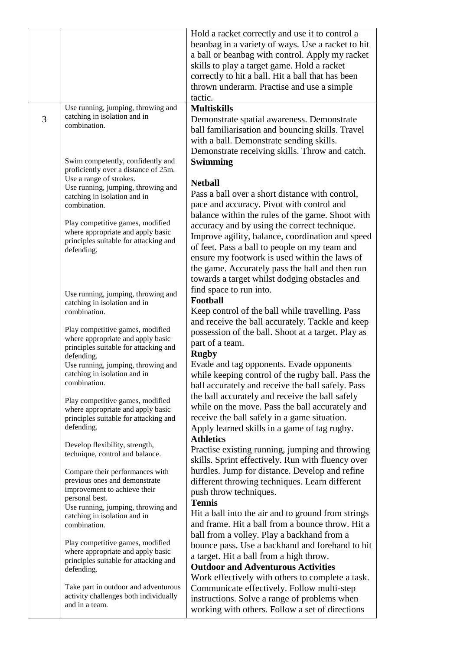|   |                                                                    | Hold a racket correctly and use it to control a    |
|---|--------------------------------------------------------------------|----------------------------------------------------|
|   |                                                                    | beanbag in a variety of ways. Use a racket to hit  |
|   |                                                                    | a ball or beanbag with control. Apply my racket    |
|   |                                                                    | skills to play a target game. Hold a racket        |
|   |                                                                    |                                                    |
|   |                                                                    | correctly to hit a ball. Hit a ball that has been  |
|   |                                                                    | thrown underarm. Practise and use a simple         |
|   |                                                                    | tactic.                                            |
|   | Use running, jumping, throwing and                                 | <b>Multiskills</b>                                 |
| 3 | catching in isolation and in<br>combination.                       | Demonstrate spatial awareness. Demonstrate         |
|   |                                                                    | ball familiarisation and bouncing skills. Travel   |
|   |                                                                    | with a ball. Demonstrate sending skills.           |
|   |                                                                    | Demonstrate receiving skills. Throw and catch.     |
|   | Swim competently, confidently and                                  | Swimming                                           |
|   | proficiently over a distance of 25m.                               |                                                    |
|   | Use a range of strokes.                                            | <b>Netball</b>                                     |
|   | Use running, jumping, throwing and<br>catching in isolation and in | Pass a ball over a short distance with control,    |
|   | combination.                                                       | pace and accuracy. Pivot with control and          |
|   |                                                                    | balance within the rules of the game. Shoot with   |
|   | Play competitive games, modified                                   | accuracy and by using the correct technique.       |
|   | where appropriate and apply basic                                  | Improve agility, balance, coordination and speed   |
|   | principles suitable for attacking and                              |                                                    |
|   | defending.                                                         | of feet. Pass a ball to people on my team and      |
|   |                                                                    | ensure my footwork is used within the laws of      |
|   |                                                                    | the game. Accurately pass the ball and then run    |
|   |                                                                    | towards a target whilst dodging obstacles and      |
|   | Use running, jumping, throwing and                                 | find space to run into.                            |
|   | catching in isolation and in                                       | Football                                           |
|   | combination.                                                       | Keep control of the ball while travelling. Pass    |
|   |                                                                    | and receive the ball accurately. Tackle and keep   |
|   | Play competitive games, modified                                   | possession of the ball. Shoot at a target. Play as |
|   | where appropriate and apply basic                                  | part of a team.                                    |
|   | principles suitable for attacking and<br>defending.                | <b>Rugby</b>                                       |
|   | Use running, jumping, throwing and                                 | Evade and tag opponents. Evade opponents           |
|   | catching in isolation and in                                       | while keeping control of the rugby ball. Pass the  |
|   | combination.                                                       | ball accurately and receive the ball safely. Pass  |
|   |                                                                    | the ball accurately and receive the ball safely    |
|   | Play competitive games, modified                                   | while on the move. Pass the ball accurately and    |
|   | where appropriate and apply basic                                  |                                                    |
|   | principles suitable for attacking and                              | receive the ball safely in a game situation.       |
|   | defending.                                                         | Apply learned skills in a game of tag rugby.       |
|   | Develop flexibility, strength,                                     | <b>Athletics</b>                                   |
|   | technique, control and balance.                                    | Practise existing running, jumping and throwing    |
|   |                                                                    | skills. Sprint effectively. Run with fluency over  |
|   | Compare their performances with                                    | hurdles. Jump for distance. Develop and refine     |
|   | previous ones and demonstrate                                      | different throwing techniques. Learn different     |
|   | improvement to achieve their<br>personal best.                     | push throw techniques.                             |
|   | Use running, jumping, throwing and                                 | <b>Tennis</b>                                      |
|   | catching in isolation and in                                       | Hit a ball into the air and to ground from strings |
|   | combination.                                                       | and frame. Hit a ball from a bounce throw. Hit a   |
|   |                                                                    | ball from a volley. Play a backhand from a         |
|   | Play competitive games, modified                                   | bounce pass. Use a backhand and forehand to hit    |
|   | where appropriate and apply basic                                  | a target. Hit a ball from a high throw.            |
|   | principles suitable for attacking and<br>defending.                | <b>Outdoor and Adventurous Activities</b>          |
|   |                                                                    | Work effectively with others to complete a task.   |
|   | Take part in outdoor and adventurous                               | Communicate effectively. Follow multi-step         |
|   | activity challenges both individually                              | instructions. Solve a range of problems when       |
|   | and in a team.                                                     | working with others. Follow a set of directions    |
|   |                                                                    |                                                    |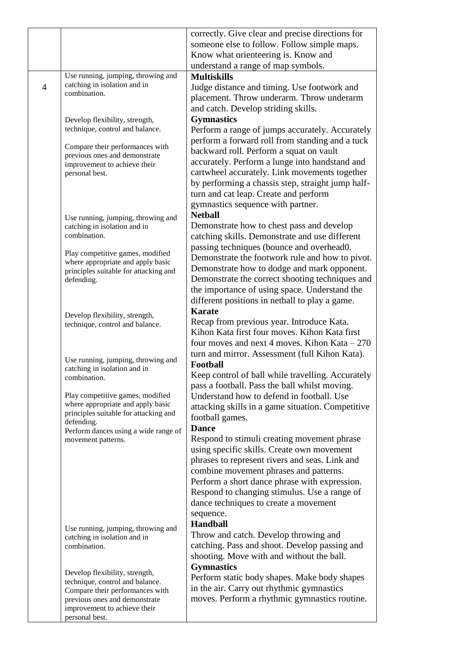|                |                                                                       | correctly. Give clear and precise directions for  |
|----------------|-----------------------------------------------------------------------|---------------------------------------------------|
|                |                                                                       | someone else to follow. Follow simple maps.       |
|                |                                                                       | Know what orienteering is. Know and               |
|                |                                                                       | understand a range of map symbols.                |
|                | Use running, jumping, throwing and                                    | <b>Multiskills</b>                                |
| $\overline{4}$ | catching in isolation and in                                          | Judge distance and timing. Use footwork and       |
|                | combination.                                                          | placement. Throw underarm. Throw underarm         |
|                |                                                                       | and catch. Develop striding skills.               |
|                | Develop flexibility, strength,                                        | <b>Gymnastics</b>                                 |
|                | technique, control and balance.                                       | Perform a range of jumps accurately. Accurately   |
|                |                                                                       | perform a forward roll from standing and a tuck   |
|                | Compare their performances with                                       | backward roll. Perform a squat on vault           |
|                | previous ones and demonstrate                                         | accurately. Perform a lunge into handstand and    |
|                | improvement to achieve their<br>personal best.                        | cartwheel accurately. Link movements together     |
|                |                                                                       | by performing a chassis step, straight jump half- |
|                |                                                                       | turn and cat leap. Create and perform             |
|                |                                                                       | gymnastics sequence with partner.                 |
|                |                                                                       | <b>Netball</b>                                    |
|                | Use running, jumping, throwing and                                    |                                                   |
|                | catching in isolation and in<br>combination.                          | Demonstrate how to chest pass and develop         |
|                |                                                                       | catching skills. Demonstrate and use different    |
|                | Play competitive games, modified                                      | passing techniques (bounce and overhead0.         |
|                | where appropriate and apply basic                                     | Demonstrate the footwork rule and how to pivot.   |
|                | principles suitable for attacking and                                 | Demonstrate how to dodge and mark opponent.       |
|                | defending.                                                            | Demonstrate the correct shooting techniques and   |
|                |                                                                       | the importance of using space. Understand the     |
|                |                                                                       | different positions in netball to play a game.    |
|                | Develop flexibility, strength,                                        | <b>Karate</b>                                     |
|                | technique, control and balance.                                       | Recap from previous year. Introduce Kata.         |
|                |                                                                       | Kihon Kata first four moves. Kihon Kata first     |
|                |                                                                       | four moves and next 4 moves. Kihon Kata $-270$    |
|                | Use running, jumping, throwing and                                    | turn and mirror. Assessment (full Kihon Kata).    |
|                | catching in isolation and in                                          | Football                                          |
|                | combination.                                                          | Keep control of ball while travelling. Accurately |
|                |                                                                       | pass a football. Pass the ball whilst moving.     |
|                | Play competitive games, modified<br>where appropriate and apply basic | Understand how to defend in football. Use         |
|                | principles suitable for attacking and                                 | attacking skills in a game situation. Competitive |
|                | defending.                                                            | football games.                                   |
|                | Perform dances using a wide range of                                  | <b>Dance</b>                                      |
|                | movement patterns.                                                    | Respond to stimuli creating movement phrase       |
|                |                                                                       | using specific skills. Create own movement        |
|                |                                                                       | phrases to represent rivers and seas. Link and    |
|                |                                                                       | combine movement phrases and patterns.            |
|                |                                                                       | Perform a short dance phrase with expression.     |
|                |                                                                       | Respond to changing stimulus. Use a range of      |
|                |                                                                       | dance techniques to create a movement             |
|                |                                                                       | sequence.                                         |
|                | Use running, jumping, throwing and                                    | <b>Handball</b>                                   |
|                | catching in isolation and in                                          | Throw and catch. Develop throwing and             |
|                | combination.                                                          | catching. Pass and shoot. Develop passing and     |
|                |                                                                       | shooting. Move with and without the ball.         |
|                | Develop flexibility, strength,                                        | <b>Gymnastics</b>                                 |
|                | technique, control and balance.                                       | Perform static body shapes. Make body shapes      |
|                | Compare their performances with                                       | in the air. Carry out rhythmic gymnastics         |
|                | previous ones and demonstrate                                         | moves. Perform a rhythmic gymnastics routine.     |
|                | improvement to achieve their                                          |                                                   |
|                | personal best.                                                        |                                                   |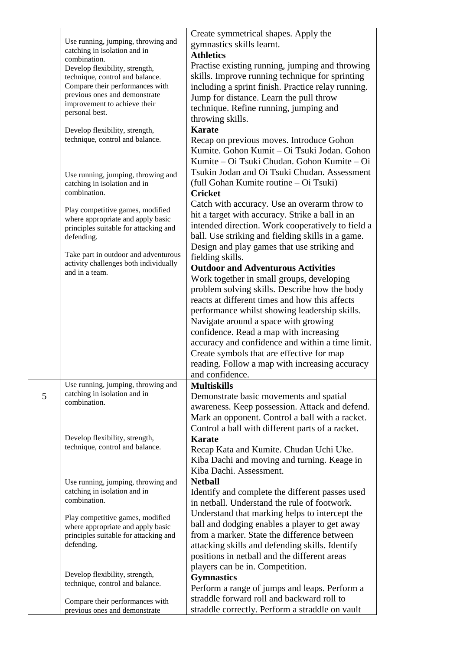|   |                                                                            | Create symmetrical shapes. Apply the               |
|---|----------------------------------------------------------------------------|----------------------------------------------------|
|   | Use running, jumping, throwing and                                         | gymnastics skills learnt.                          |
|   | catching in isolation and in                                               | <b>Athletics</b>                                   |
|   | combination.                                                               |                                                    |
|   | Develop flexibility, strength,                                             | Practise existing running, jumping and throwing    |
|   | technique, control and balance.                                            | skills. Improve running technique for sprinting    |
|   | Compare their performances with                                            | including a sprint finish. Practice relay running. |
|   | previous ones and demonstrate<br>improvement to achieve their              | Jump for distance. Learn the pull throw            |
|   | personal best.                                                             | technique. Refine running, jumping and             |
|   |                                                                            | throwing skills.                                   |
|   | Develop flexibility, strength,                                             | <b>Karate</b>                                      |
|   | technique, control and balance.                                            | Recap on previous moves. Introduce Gohon           |
|   |                                                                            | Kumite. Gohon Kumit - Oi Tsuki Jodan. Gohon        |
|   |                                                                            | Kumite – Oi Tsuki Chudan. Gohon Kumite – Oi        |
|   |                                                                            | Tsukin Jodan and Oi Tsuki Chudan. Assessment       |
|   | Use running, jumping, throwing and                                         | (full Gohan Kumite routine – Oi Tsuki)             |
|   | catching in isolation and in<br>combination.                               | <b>Cricket</b>                                     |
|   |                                                                            |                                                    |
|   | Play competitive games, modified                                           | Catch with accuracy. Use an overarm throw to       |
|   | where appropriate and apply basic                                          | hit a target with accuracy. Strike a ball in an    |
|   | principles suitable for attacking and                                      | intended direction. Work cooperatively to field a  |
|   | defending.                                                                 | ball. Use striking and fielding skills in a game.  |
|   |                                                                            | Design and play games that use striking and        |
|   | Take part in outdoor and adventurous                                       | fielding skills.                                   |
|   | activity challenges both individually                                      | <b>Outdoor and Adventurous Activities</b>          |
|   | and in a team.                                                             | Work together in small groups, developing          |
|   |                                                                            | problem solving skills. Describe how the body      |
|   |                                                                            | reacts at different times and how this affects     |
|   |                                                                            |                                                    |
|   |                                                                            | performance whilst showing leadership skills.      |
|   |                                                                            | Navigate around a space with growing               |
|   |                                                                            | confidence. Read a map with increasing             |
|   |                                                                            | accuracy and confidence and within a time limit.   |
|   |                                                                            | Create symbols that are effective for map          |
|   |                                                                            | reading. Follow a map with increasing accuracy     |
|   |                                                                            | and confidence.                                    |
|   | Use running, jumping, throwing and                                         | <b>Multiskills</b>                                 |
| 5 | catching in isolation and in                                               | Demonstrate basic movements and spatial            |
|   | combination.                                                               | awareness. Keep possession. Attack and defend.     |
|   |                                                                            | Mark an opponent. Control a ball with a racket.    |
|   |                                                                            |                                                    |
|   |                                                                            | Control a ball with different parts of a racket.   |
|   | Develop flexibility, strength,<br>technique, control and balance.          | <b>Karate</b>                                      |
|   |                                                                            | Recap Kata and Kumite. Chudan Uchi Uke.            |
|   |                                                                            | Kiba Dachi and moving and turning. Keage in        |
|   |                                                                            | Kiba Dachi. Assessment.                            |
|   | Use running, jumping, throwing and                                         | <b>Netball</b>                                     |
|   | catching in isolation and in                                               | Identify and complete the different passes used    |
|   | combination.                                                               | in netball. Understand the rule of footwork.       |
|   |                                                                            | Understand that marking helps to intercept the     |
|   | Play competitive games, modified                                           | ball and dodging enables a player to get away      |
|   | where appropriate and apply basic<br>principles suitable for attacking and | from a marker. State the difference between        |
|   | defending.                                                                 |                                                    |
|   |                                                                            | attacking skills and defending skills. Identify    |
|   |                                                                            | positions in netball and the different areas       |
|   |                                                                            | players can be in. Competition.                    |
|   | Develop flexibility, strength,<br>technique, control and balance.          | <b>Gymnastics</b>                                  |
|   |                                                                            | Perform a range of jumps and leaps. Perform a      |
|   | Compare their performances with                                            | straddle forward roll and backward roll to         |
|   | previous ones and demonstrate                                              | straddle correctly. Perform a straddle on vault    |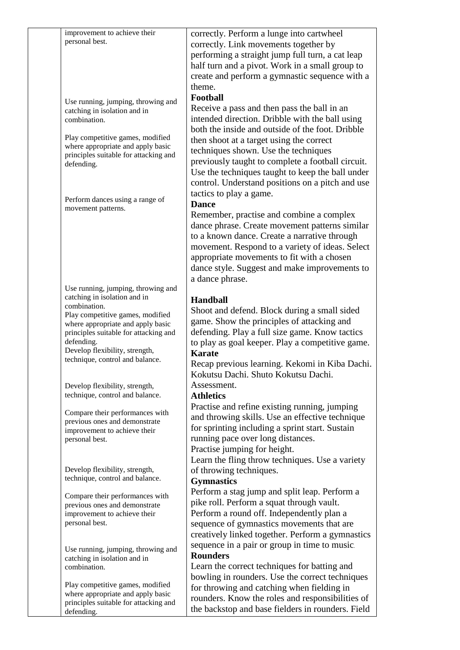| improvement to achieve their<br>personal best.                                                                                                                                                                                                                                          | correctly. Perform a lunge into cartwheel<br>correctly. Link movements together by<br>performing a straight jump full turn, a cat leap<br>half turn and a pivot. Work in a small group to<br>create and perform a gymnastic sequence with a<br>theme.                                                                                                                                                           |
|-----------------------------------------------------------------------------------------------------------------------------------------------------------------------------------------------------------------------------------------------------------------------------------------|-----------------------------------------------------------------------------------------------------------------------------------------------------------------------------------------------------------------------------------------------------------------------------------------------------------------------------------------------------------------------------------------------------------------|
| Use running, jumping, throwing and<br>catching in isolation and in<br>combination.<br>Play competitive games, modified<br>where appropriate and apply basic<br>principles suitable for attacking and<br>defending.                                                                      | Football<br>Receive a pass and then pass the ball in an<br>intended direction. Dribble with the ball using<br>both the inside and outside of the foot. Dribble<br>then shoot at a target using the correct<br>techniques shown. Use the techniques<br>previously taught to complete a football circuit.<br>Use the techniques taught to keep the ball under<br>control. Understand positions on a pitch and use |
| Perform dances using a range of<br>movement patterns.                                                                                                                                                                                                                                   | tactics to play a game.<br><b>Dance</b><br>Remember, practise and combine a complex<br>dance phrase. Create movement patterns similar<br>to a known dance. Create a narrative through<br>movement. Respond to a variety of ideas. Select<br>appropriate movements to fit with a chosen<br>dance style. Suggest and make improvements to<br>a dance phrase.                                                      |
| Use running, jumping, throwing and<br>catching in isolation and in<br>combination.<br>Play competitive games, modified<br>where appropriate and apply basic<br>principles suitable for attacking and<br>defending.<br>Develop flexibility, strength,<br>technique, control and balance. | <b>Handball</b><br>Shoot and defend. Block during a small sided<br>game. Show the principles of attacking and<br>defending. Play a full size game. Know tactics<br>to play as goal keeper. Play a competitive game.<br><b>Karate</b><br>Recap previous learning. Kekomi in Kiba Dachi.<br>Kokutsu Dachi. Shuto Kokutsu Dachi.                                                                                   |
| Develop flexibility, strength,<br>technique, control and balance.<br>Compare their performances with<br>previous ones and demonstrate<br>improvement to achieve their<br>personal best.                                                                                                 | Assessment.<br><b>Athletics</b><br>Practise and refine existing running, jumping<br>and throwing skills. Use an effective technique<br>for sprinting including a sprint start. Sustain<br>running pace over long distances.<br>Practise jumping for height.                                                                                                                                                     |
| Develop flexibility, strength,<br>technique, control and balance.<br>Compare their performances with<br>previous ones and demonstrate<br>improvement to achieve their<br>personal best.                                                                                                 | Learn the fling throw techniques. Use a variety<br>of throwing techniques.<br><b>Gymnastics</b><br>Perform a stag jump and split leap. Perform a<br>pike roll. Perform a squat through vault.<br>Perform a round off. Independently plan a<br>sequence of gymnastics movements that are<br>creatively linked together. Perform a gymnastics                                                                     |
| Use running, jumping, throwing and<br>catching in isolation and in<br>combination.                                                                                                                                                                                                      | sequence in a pair or group in time to music.<br><b>Rounders</b><br>Learn the correct techniques for batting and<br>bowling in rounders. Use the correct techniques                                                                                                                                                                                                                                             |
| Play competitive games, modified<br>where appropriate and apply basic<br>principles suitable for attacking and<br>defending.                                                                                                                                                            | for throwing and catching when fielding in<br>rounders. Know the roles and responsibilities of<br>the backstop and base fielders in rounders. Field                                                                                                                                                                                                                                                             |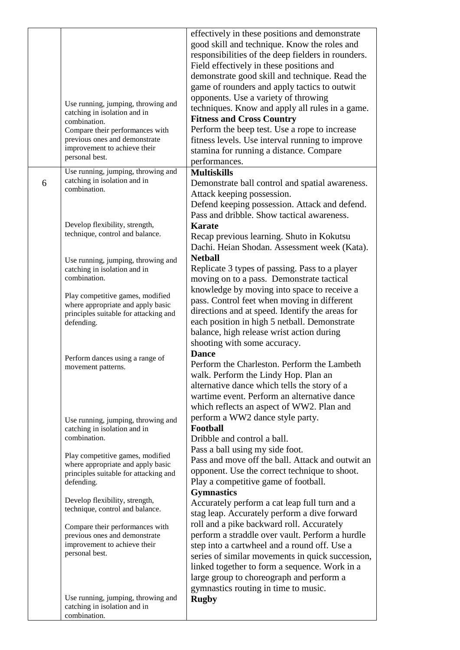|   | Use running, jumping, throwing and<br>catching in isolation and in<br>combination.<br>Compare their performances with<br>previous ones and demonstrate<br>improvement to achieve their<br>personal best. | effectively in these positions and demonstrate<br>good skill and technique. Know the roles and<br>responsibilities of the deep fielders in rounders.<br>Field effectively in these positions and<br>demonstrate good skill and technique. Read the<br>game of rounders and apply tactics to outwit<br>opponents. Use a variety of throwing<br>techniques. Know and apply all rules in a game.<br><b>Fitness and Cross Country</b><br>Perform the beep test. Use a rope to increase<br>fitness levels. Use interval running to improve<br>stamina for running a distance. Compare<br>performances. |
|---|----------------------------------------------------------------------------------------------------------------------------------------------------------------------------------------------------------|---------------------------------------------------------------------------------------------------------------------------------------------------------------------------------------------------------------------------------------------------------------------------------------------------------------------------------------------------------------------------------------------------------------------------------------------------------------------------------------------------------------------------------------------------------------------------------------------------|
| 6 | Use running, jumping, throwing and<br>catching in isolation and in<br>combination.                                                                                                                       | <b>Multiskills</b><br>Demonstrate ball control and spatial awareness.<br>Attack keeping possession.<br>Defend keeping possession. Attack and defend.<br>Pass and dribble. Show tactical awareness.                                                                                                                                                                                                                                                                                                                                                                                                |
|   | Develop flexibility, strength,<br>technique, control and balance.                                                                                                                                        | <b>Karate</b><br>Recap previous learning. Shuto in Kokutsu<br>Dachi. Heian Shodan. Assessment week (Kata).                                                                                                                                                                                                                                                                                                                                                                                                                                                                                        |
|   | Use running, jumping, throwing and<br>catching in isolation and in<br>combination.                                                                                                                       | <b>Netball</b><br>Replicate 3 types of passing. Pass to a player<br>moving on to a pass. Demonstrate tactical                                                                                                                                                                                                                                                                                                                                                                                                                                                                                     |
|   | Play competitive games, modified<br>where appropriate and apply basic<br>principles suitable for attacking and<br>defending.                                                                             | knowledge by moving into space to receive a<br>pass. Control feet when moving in different<br>directions and at speed. Identify the areas for<br>each position in high 5 netball. Demonstrate<br>balance, high release wrist action during<br>shooting with some accuracy.                                                                                                                                                                                                                                                                                                                        |
|   | Perform dances using a range of<br>movement patterns.                                                                                                                                                    | <b>Dance</b><br>Perform the Charleston. Perform the Lambeth<br>walk. Perform the Lindy Hop. Plan an<br>alternative dance which tells the story of a<br>wartime event. Perform an alternative dance<br>which reflects an aspect of WW2. Plan and                                                                                                                                                                                                                                                                                                                                                   |
|   | Use running, jumping, throwing and<br>catching in isolation and in<br>combination.                                                                                                                       | perform a WW2 dance style party.<br>Football<br>Dribble and control a ball.                                                                                                                                                                                                                                                                                                                                                                                                                                                                                                                       |
|   | Play competitive games, modified<br>where appropriate and apply basic<br>principles suitable for attacking and<br>defending.                                                                             | Pass a ball using my side foot.<br>Pass and move off the ball. Attack and outwit an<br>opponent. Use the correct technique to shoot.<br>Play a competitive game of football.<br><b>Gymnastics</b>                                                                                                                                                                                                                                                                                                                                                                                                 |
|   | Develop flexibility, strength,<br>technique, control and balance.                                                                                                                                        | Accurately perform a cat leap full turn and a<br>stag leap. Accurately perform a dive forward                                                                                                                                                                                                                                                                                                                                                                                                                                                                                                     |
|   | Compare their performances with<br>previous ones and demonstrate<br>improvement to achieve their<br>personal best.                                                                                       | roll and a pike backward roll. Accurately<br>perform a straddle over vault. Perform a hurdle<br>step into a cartwheel and a round off. Use a<br>series of similar movements in quick succession,<br>linked together to form a sequence. Work in a<br>large group to choreograph and perform a<br>gymnastics routing in time to music.                                                                                                                                                                                                                                                             |
|   | Use running, jumping, throwing and<br>catching in isolation and in<br>combination.                                                                                                                       | <b>Rugby</b>                                                                                                                                                                                                                                                                                                                                                                                                                                                                                                                                                                                      |